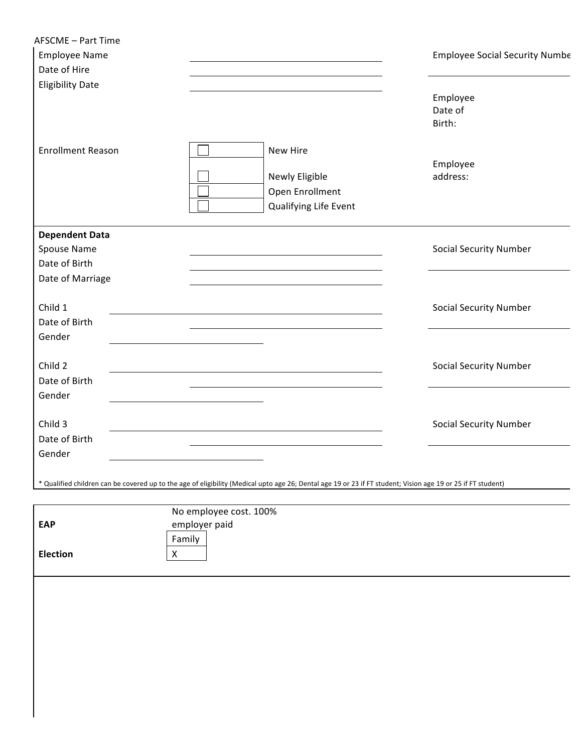| Date of Hire                                          |                                                   |                                                                                                                                                              |                               |
|-------------------------------------------------------|---------------------------------------------------|--------------------------------------------------------------------------------------------------------------------------------------------------------------|-------------------------------|
| <b>Eligibility Date</b>                               |                                                   |                                                                                                                                                              | Employee<br>Date of<br>Birth: |
| <b>Enrollment Reason</b>                              |                                                   | New Hire<br>Newly Eligible<br>Open Enrollment<br>Qualifying Life Event                                                                                       | Employee<br>address:          |
| <b>Dependent Data</b><br>Spouse Name<br>Date of Birth |                                                   |                                                                                                                                                              | <b>Social Security Number</b> |
| Date of Marriage                                      |                                                   |                                                                                                                                                              |                               |
| Child 1<br>Date of Birth                              |                                                   |                                                                                                                                                              | <b>Social Security Number</b> |
| Gender                                                |                                                   |                                                                                                                                                              |                               |
| Child 2<br>Date of Birth<br>Gender                    |                                                   |                                                                                                                                                              | <b>Social Security Number</b> |
| Child 3<br>Date of Birth                              |                                                   |                                                                                                                                                              | <b>Social Security Number</b> |
| Gender                                                |                                                   |                                                                                                                                                              |                               |
|                                                       |                                                   | * Qualified children can be covered up to the age of eligibility (Medical upto age 26; Dental age 19 or 23 if FT student; Vision age 19 or 25 if FT student) |                               |
| <b>EAP</b>                                            | No employee cost. 100%<br>employer paid<br>Family |                                                                                                                                                              |                               |
| Election                                              | $\mathsf X$                                       |                                                                                                                                                              |                               |
|                                                       |                                                   |                                                                                                                                                              |                               |
|                                                       |                                                   |                                                                                                                                                              |                               |
|                                                       |                                                   |                                                                                                                                                              |                               |

 $\mathbf l$